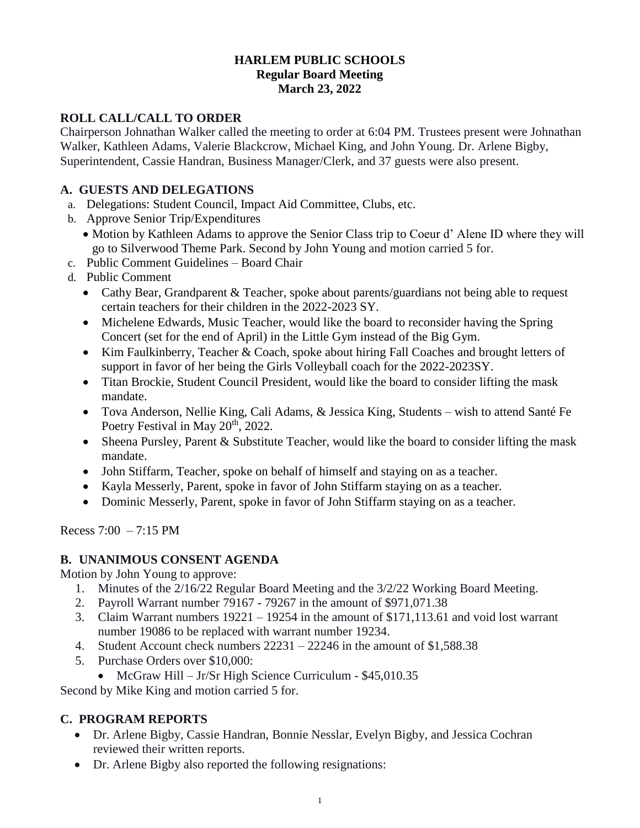## **HARLEM PUBLIC SCHOOLS Regular Board Meeting March 23, 2022**

## **ROLL CALL/CALL TO ORDER**

Chairperson Johnathan Walker called the meeting to order at 6:04 PM. Trustees present were Johnathan Walker, Kathleen Adams, Valerie Blackcrow, Michael King, and John Young. Dr. Arlene Bigby, Superintendent, Cassie Handran, Business Manager/Clerk, and 37 guests were also present.

# **A. GUESTS AND DELEGATIONS**

- a. Delegations: Student Council, Impact Aid Committee, Clubs, etc.
- b. Approve Senior Trip/Expenditures
	- Motion by Kathleen Adams to approve the Senior Class trip to Coeur d'Alene ID where they will go to Silverwood Theme Park. Second by John Young and motion carried 5 for.
- c. Public Comment Guidelines Board Chair
- d. Public Comment
	- Cathy Bear, Grandparent & Teacher, spoke about parents/guardians not being able to request certain teachers for their children in the 2022-2023 SY.
	- Michelene Edwards, Music Teacher, would like the board to reconsider having the Spring Concert (set for the end of April) in the Little Gym instead of the Big Gym.
	- Kim Faulkinberry, Teacher & Coach, spoke about hiring Fall Coaches and brought letters of support in favor of her being the Girls Volleyball coach for the 2022-2023SY.
	- Titan Brockie, Student Council President, would like the board to consider lifting the mask mandate.
	- Tova Anderson, Nellie King, Cali Adams, & Jessica King, Students wish to attend Santé Fe Poetry Festival in May 20<sup>th</sup>, 2022.
	- Sheena Pursley, Parent & Substitute Teacher, would like the board to consider lifting the mask mandate.
	- John Stiffarm, Teacher, spoke on behalf of himself and staying on as a teacher.
	- Kayla Messerly, Parent, spoke in favor of John Stiffarm staying on as a teacher.
	- Dominic Messerly, Parent, spoke in favor of John Stiffarm staying on as a teacher.

Recess 7:00 – 7:15 PM

## **B. UNANIMOUS CONSENT AGENDA**

Motion by John Young to approve:

- 1. Minutes of the 2/16/22 Regular Board Meeting and the 3/2/22 Working Board Meeting.
- 2. Payroll Warrant number 79167 79267 in the amount of \$971,071.38
- 3. Claim Warrant numbers 19221 19254 in the amount of \$171,113.61 and void lost warrant number 19086 to be replaced with warrant number 19234.
- 4. Student Account check numbers 22231 22246 in the amount of \$1,588.38
- 5. Purchase Orders over \$10,000:
	- McGraw Hill Jr/Sr High Science Curriculum \$45,010.35

Second by Mike King and motion carried 5 for.

# **C. PROGRAM REPORTS**

- Dr. Arlene Bigby, Cassie Handran, Bonnie Nesslar, Evelyn Bigby, and Jessica Cochran reviewed their written reports.
- Dr. Arlene Bigby also reported the following resignations: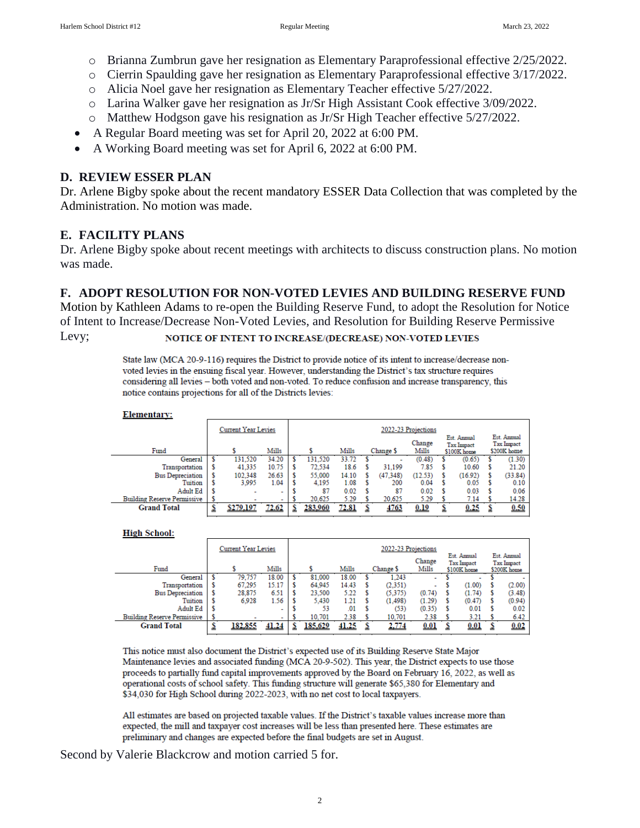- o Brianna Zumbrun gave her resignation as Elementary Paraprofessional effective 2/25/2022.
- o Cierrin Spaulding gave her resignation as Elementary Paraprofessional effective 3/17/2022.
- o Alicia Noel gave her resignation as Elementary Teacher effective 5/27/2022.
- o Larina Walker gave her resignation as Jr/Sr High Assistant Cook effective 3/09/2022.
- o Matthew Hodgson gave his resignation as Jr/Sr High Teacher effective 5/27/2022.
- A Regular Board meeting was set for April 20, 2022 at 6:00 PM.
- A Working Board meeting was set for April 6, 2022 at 6:00 PM.

### **D. REVIEW ESSER PLAN**

Dr. Arlene Bigby spoke about the recent mandatory ESSER Data Collection that was completed by the Administration. No motion was made.

### **E. FACILITY PLANS**

Dr. Arlene Bigby spoke about recent meetings with architects to discuss construction plans. No motion was made.

### **F. ADOPT RESOLUTION FOR NON-VOTED LEVIES AND BUILDING RESERVE FUND**

Motion by Kathleen Adams to re-open the Building Reserve Fund, to adopt the Resolution for Notice of Intent to Increase/Decrease Non-Voted Levies, and Resolution for Building Reserve Permissive

Levy;

### NOTICE OF INTENT TO INCREASE/(DECREASE) NON-VOTED LEVIES

State law (MCA 20-9-116) requires the District to provide notice of its intent to increase/decrease nonvoted levies in the ensuing fiscal year. However, understanding the District's tax structure requires considering all levies - both voted and non-voted. To reduce confusion and increase transparency, this notice contains projections for all of the Districts levies:

#### **Elementary:**

|                                    | Current Year Levies |           |       |  | 2022-23 Projections |       |           |          |                 |                                                 |         |                                                 |         |  |
|------------------------------------|---------------------|-----------|-------|--|---------------------|-------|-----------|----------|-----------------|-------------------------------------------------|---------|-------------------------------------------------|---------|--|
| Fund                               |                     |           | Mills |  |                     | Mills | Change \$ |          | Change<br>Mills | Est. Annual<br><b>Tax Impact</b><br>\$100K home |         | Est. Annual<br><b>Tax Impact</b><br>\$200K home |         |  |
| General                            |                     | 131.520   | 34.20 |  | 131.520             | 33.72 |           |          | (0.48)          |                                                 | (0.65)  |                                                 | (1.30)  |  |
| Transportation                     |                     | 41.335    | 10.75 |  | 72.534              | 18.6  |           | 31.199   | 7.85            |                                                 | 10.60   |                                                 | 21.20   |  |
| <b>Bus Depreciation</b>            |                     | 102.348   | 26.63 |  | 55,000              | 14.10 |           | (47.348) | (12.53)         |                                                 | (16.92) |                                                 | (33.84) |  |
| Tuition                            |                     | 3.995     | 1.04  |  | 4.195               | 1.08  |           | 200      | 0.04            |                                                 | 0.05    |                                                 | 0.10    |  |
| Adult Ed                           |                     |           |       |  | 87                  | 0.02  |           | 87       | 0.02            |                                                 | 0.03    |                                                 | 0.06    |  |
| <b>Building Reserve Permissive</b> |                     |           |       |  | 20.625              | 5.29  |           | 20.625   | 5.29            |                                                 | 7.14    |                                                 | 14.28   |  |
| <b>Grand Total</b>                 |                     | \$279,197 | 72.62 |  | 283,960             | 72.81 |           | 4763     | 0.19            |                                                 | 0.25    |                                                 | 0.50    |  |

#### **High School:**

|                                    | <b>Current Year Levies</b> |         |       | 2022-23 Projections |         |       |           |                 |                                                 |  |                                                 |  |        |
|------------------------------------|----------------------------|---------|-------|---------------------|---------|-------|-----------|-----------------|-------------------------------------------------|--|-------------------------------------------------|--|--------|
| Fund                               | Mills                      |         |       |                     | Mills   |       | Change \$ | Change<br>Mills | Est. Annual<br><b>Tax Impact</b><br>\$100K home |  | Est. Annual<br><b>Tax Impact</b><br>\$200K home |  |        |
| General                            |                            | 79,757  | 18.00 |                     | 81.000  | 18.00 |           | 1.243           | $\overline{\phantom{a}}$                        |  |                                                 |  |        |
| Transportation                     |                            | 67,295  | 15.17 |                     | 64.945  | 14.43 |           | (2,351)         |                                                 |  | (1.00)                                          |  | (2.00) |
| <b>Bus Depreciation</b>            |                            | 28,875  | 6.51  |                     | 23,500  | 5.22  |           | (5.375)         | (0.74)                                          |  | (1.74)                                          |  | (3.48) |
| Tuition                            |                            | 6.928   | 1.56  |                     | 5.430   | 1.21  |           | (1.498)         | (1.29)                                          |  | (0.47)                                          |  | (0.94) |
| Adult Ed                           |                            |         | -     |                     | 53      | .01   |           | (53)            | (0.35)                                          |  | 0.01                                            |  | 0.02   |
| <b>Building Reserve Permissive</b> |                            |         |       |                     | 10.701  | 2.38  |           | 10.701          | 2.38                                            |  | 3.21                                            |  | 6.42   |
| <b>Grand Total</b>                 |                            | 182,855 | 41.24 |                     | 185,629 | 41.25 |           | 2,774           | 0.01                                            |  | 0.01                                            |  | 0.02   |

This notice must also document the District's expected use of its Building Reserve State Major Maintenance levies and associated funding (MCA 20-9-502). This year, the District expects to use those proceeds to partially fund capital improvements approved by the Board on February 16, 2022, as well as operational costs of school safety. This funding structure will generate \$65,380 for Elementary and \$34,030 for High School during 2022-2023, with no net cost to local taxpayers.

All estimates are based on projected taxable values. If the District's taxable values increase more than expected, the mill and taxpayer cost increases will be less than presented here. These estimates are preliminary and changes are expected before the final budgets are set in August.

Second by Valerie Blackcrow and motion carried 5 for.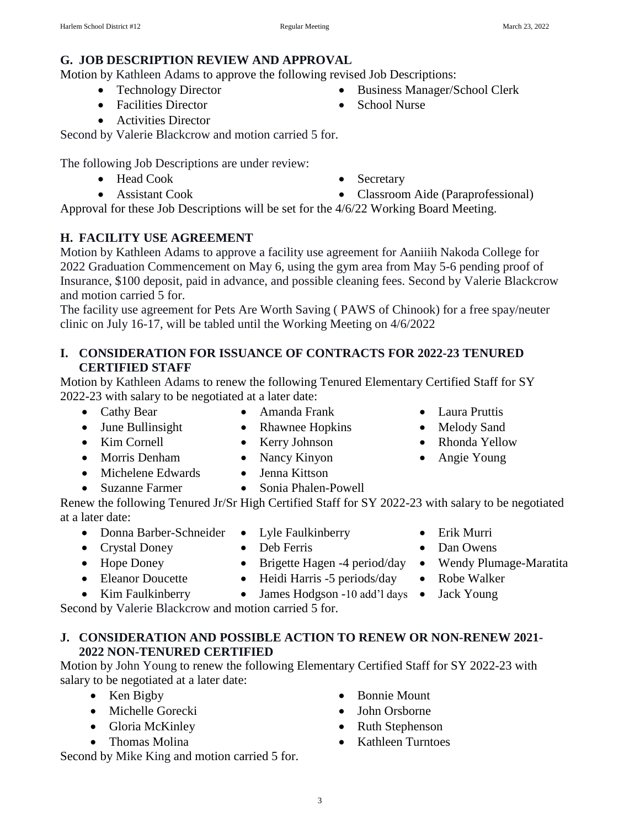### **G. JOB DESCRIPTION REVIEW AND APPROVAL**

Motion by Kathleen Adams to approve the following revised Job Descriptions:

- Technology Director
- Facilities Director
- Activities Director

Second by Valerie Blackcrow and motion carried 5 for.

The following Job Descriptions are under review:

- Head Cook
- Assistant Cook

Approval for these Job Descriptions will be set for the 4/6/22 Working Board Meeting.

# **H. FACILITY USE AGREEMENT**

Motion by Kathleen Adams to approve a facility use agreement for Aaniiih Nakoda College for 2022 Graduation Commencement on May 6, using the gym area from May 5-6 pending proof of Insurance, \$100 deposit, paid in advance, and possible cleaning fees. Second by Valerie Blackcrow and motion carried 5 for.

The facility use agreement for Pets Are Worth Saving ( PAWS of Chinook) for a free spay/neuter clinic on July 16-17, will be tabled until the Working Meeting on 4/6/2022

## **I. CONSIDERATION FOR ISSUANCE OF CONTRACTS FOR 2022-23 TENURED CERTIFIED STAFF**

Motion by Kathleen Adams to renew the following Tenured Elementary Certified Staff for SY 2022-23 with salary to be negotiated at a later date:

- 
- Cathy Bear Amanda Frank Laura Pruttis
- June Bullinsight Rhawnee Hopkins Melody Sand
- Kim Cornell Kerry Johnson Rhonda Yellow
- 
- Michelene Edwards Jenna Kittson
- Suzanne Farmer Sonia Phalen-Powell

Renew the following Tenured Jr/Sr High Certified Staff for SY 2022-23 with salary to be negotiated at a later date:

- Donna Barber-Schneider Lyle Faulkinberry Erik Murri
- Crystal Doney Deb Ferris Dan Owens
- Hope Doney Brigette Hagen -4 period/day Wendy Plumage-Maratita
- Eleanor Doucette Heidi Harris -5 periods/day Robe Walker
	-
- Kim Faulkinberry James Hodgson -10 add'l days Jack Young

Second by Valerie Blackcrow and motion carried 5 for.

## **J. CONSIDERATION AND POSSIBLE ACTION TO RENEW OR NON-RENEW 2021- 2022 NON-TENURED CERTIFIED**

Motion by John Young to renew the following Elementary Certified Staff for SY 2022-23 with salary to be negotiated at a later date:

- $\bullet$  Ken Bigby
- Michelle Gorecki
- Gloria McKinley
- Thomas Molina

Second by Mike King and motion carried 5 for.

- Bonnie Mount
- John Orsborne
- Ruth Stephenson
- Kathleen Turntoes
- 
- -
	-
	-
- Morris Denham Nancy Kinyon Angie Young

Classroom Aide (Paraprofessional)

- Business Manager/School Clerk
- School Nurse

Secretary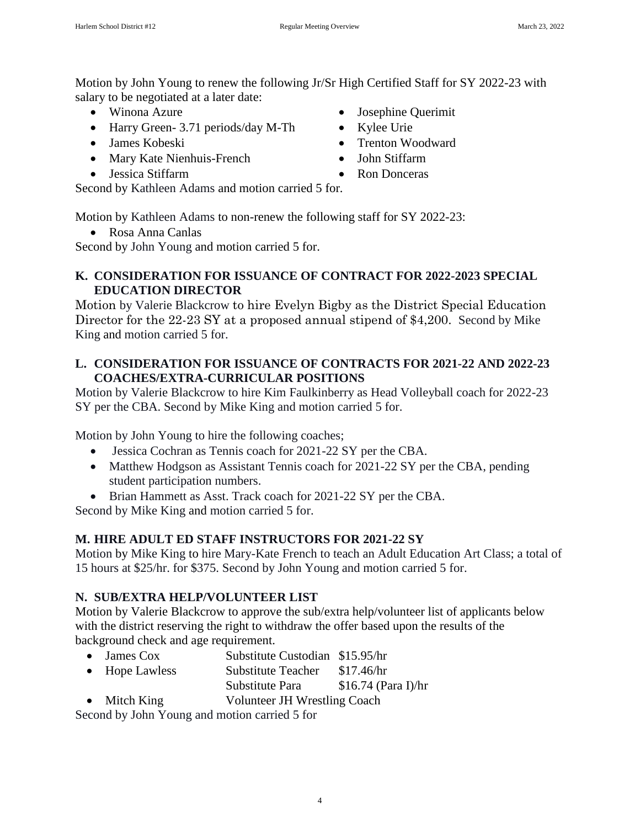Motion by John Young to renew the following Jr/Sr High Certified Staff for SY 2022-23 with salary to be negotiated at a later date:

- Winona Azure
- Harry Green- 3.71 periods/day M-Th
- James Kobeski
- Mary Kate Nienhuis-French
- Jessica Stiffarm

Second by Kathleen Adams and motion carried 5 for.

Motion by Kathleen Adams to non-renew the following staff for SY 2022-23:

Rosa Anna Canlas

Second by John Young and motion carried 5 for.

## **K. CONSIDERATION FOR ISSUANCE OF CONTRACT FOR 2022-2023 SPECIAL EDUCATION DIRECTOR**

Motion by Valerie Blackcrow to hire Evelyn Bigby as the District Special Education Director for the 22-23 SY at a proposed annual stipend of \$4,200. Second by Mike King and motion carried 5 for.

### **L. CONSIDERATION FOR ISSUANCE OF CONTRACTS FOR 2021-22 AND 2022-23 COACHES/EXTRA-CURRICULAR POSITIONS**

Motion by Valerie Blackcrow to hire Kim Faulkinberry as Head Volleyball coach for 2022-23 SY per the CBA. Second by Mike King and motion carried 5 for.

Motion by John Young to hire the following coaches;

- Jessica Cochran as Tennis coach for 2021-22 SY per the CBA.
- Matthew Hodgson as Assistant Tennis coach for 2021-22 SY per the CBA, pending student participation numbers.
- Brian Hammett as Asst. Track coach for 2021-22 SY per the CBA.

Second by Mike King and motion carried 5 for.

## **M. HIRE ADULT ED STAFF INSTRUCTORS FOR 2021-22 SY**

Motion by Mike King to hire Mary-Kate French to teach an Adult Education Art Class; a total of 15 hours at \$25/hr. for \$375. Second by John Young and motion carried 5 for.

## **N. SUB/EXTRA HELP/VOLUNTEER LIST**

Motion by Valerie Blackcrow to approve the sub/extra help/volunteer list of applicants below with the district reserving the right to withdraw the offer based upon the results of the background check and age requirement.

- James Cox Substitute Custodian \$15.95/hr
- Hope Lawless Substitute Teacher \$17.46/hr Substitute Para  $$16.74$  (Para I)/hr
- Mitch King Volunteer JH Wrestling Coach

Second by John Young and motion carried 5 for

- Josephine Querimit
- Kylee Urie
- Trenton Woodward
- John Stiffarm
- Ron Donceras